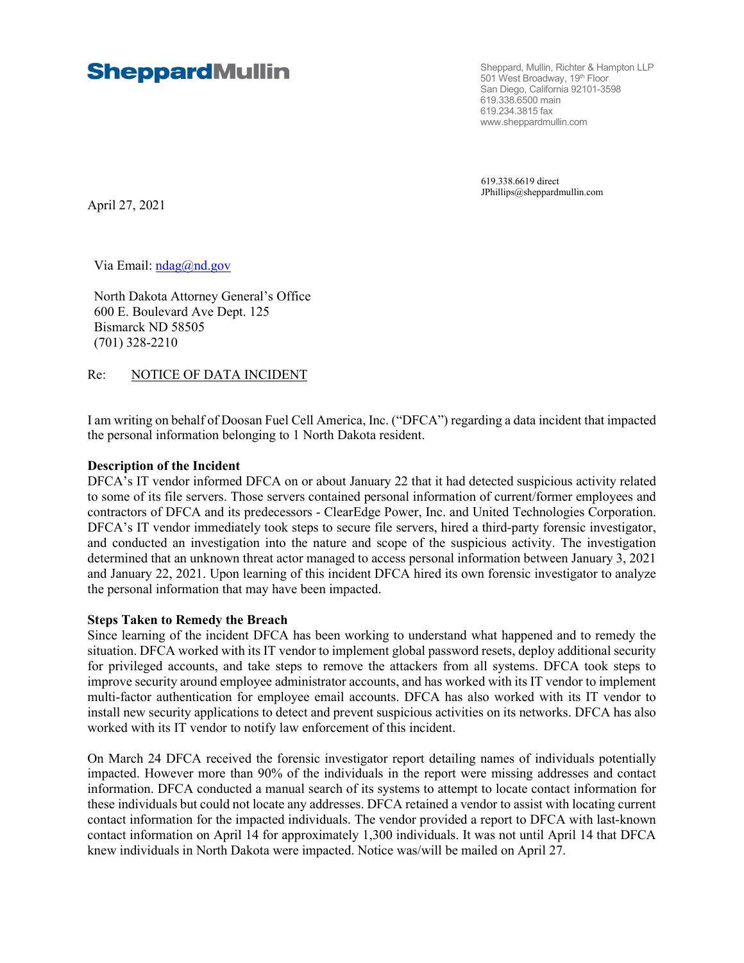# **SheppardMullin**

Sheppard, Mullin, Richter & Hampton LLP 501 West Broadway, 19th Floor San Diego, California 92101-3598 619.338.6500 main 619.234.3815 fax www.sheppardmullin.com

619.338.6619 direct JPhillips@sheppardmullin.com

April 27, 2021

Via Email:  $ndag(\hat{\omega})$ nd.gov

North Dakota Attorney General's Office 600 E. Boulevard Ave Dept. 125 Bismarck ND 58505 (701) 328-2210

# Re: NOTICE OF DATA INCIDENT

I am writing on behalf of Doosan Fuel Cell America, Inc. ("DFCA") regarding a data incident that impacted the personal information belonging to 1 North Dakota resident.

#### **Description of the Incident**

DFCA's IT vendor informed DFCA on or about January 22 that it had detected suspicious activity related to some of its file servers. Those servers contained personal information of current/former employees and contractors of DFCA and its predecessors - ClearEdge Power, Inc. and United Technologies Corporation. DFCA's IT vendor immediately took steps to secure file servers, hired a third-party forensic investigator, and conducted an investigation into the nature and scope of the suspicious activity. The investigation determined that an unknown threat actor managed to access personal information between January 3, 2021 and January 22, 2021. Upon learning of this incident DFCA hired its own forensic investigator to analyze the personal information that may have been impacted.

#### **Steps Taken to Remedy the Breach**

Since learning of the incident DFCA has been working to understand what happened and to remedy the situation. DFCA worked with its IT vendor to implement global password resets, deploy additional security for privileged accounts, and take steps to remove the attackers from all systems. DFCA took steps to improve security around employee administrator accounts, and has worked with its IT vendor to implement multi-factor authentication for employee email accounts. DFCA has also worked with its IT vendor to install new security applications to detect and prevent suspicious activities on its networks. DFCA has also worked with its IT vendor to notify law enforcement of this incident.

On March 24 DFCA received the forensic investigator report detailing names of individuals potentially impacted. However more than 90% of the individuals in the report were missing addresses and contact information. DFCA conducted a manual search of its systems to attempt to locate contact information for these individuals but could not locate any addresses. DFCA retained a vendor to assist with locating current contact information for the impacted individuals. The vendor provided a report to DFCA with last-known contact information on April 14 for approximately 1,300 individuals. It was not until April 14 that DFCA knew individuals in North Dakota were impacted. Notice was/will be mailed on April 27.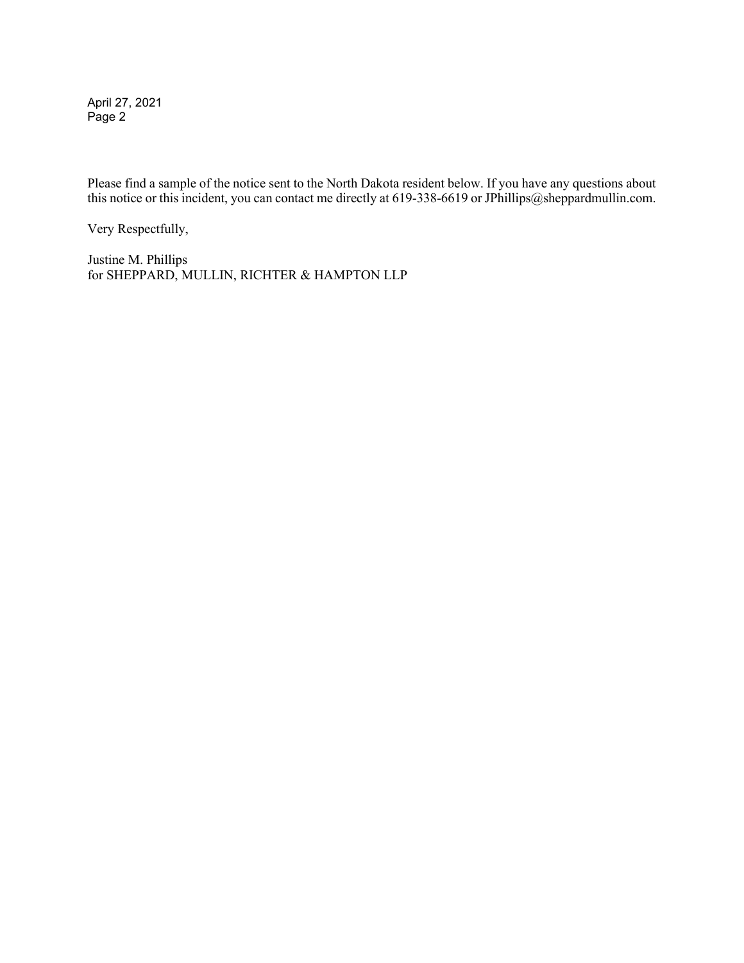April 27, 2021 Page 2

Please find a sample of the notice sent to the North Dakota resident below. If you have any questions about this notice or this incident, you can contact me directly at 619-338-6619 or JPhillips@sheppardmullin.com.

Very Respectfully,

Justine M. Phillips for SHEPPARD, MULLIN, RICHTER & HAMPTON LLP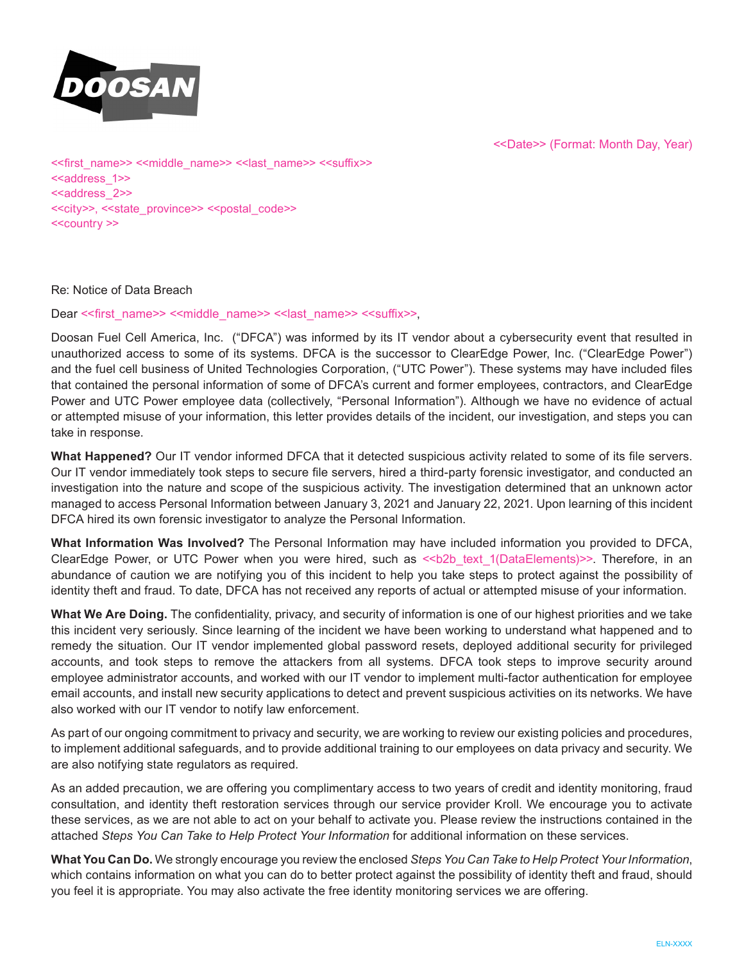

<<Date>> (Format: Month Day, Year)

<<first\_name>> <<middle\_name>> <<last\_name>> <<suffix>> <<address\_1>> <<address\_2>> <<city>>, <<state\_province>> <<postal\_code>> <<country >>

#### Re: Notice of Data Breach

Dear << first\_name>> <<middle\_name>> << last\_name>> << suffix>>,

Doosan Fuel Cell America, Inc. ("DFCA") was informed by its IT vendor about a cybersecurity event that resulted in unauthorized access to some of its systems. DFCA is the successor to ClearEdge Power, Inc. ("ClearEdge Power") and the fuel cell business of United Technologies Corporation, ("UTC Power"). These systems may have included files that contained the personal information of some of DFCA's current and former employees, contractors, and ClearEdge Power and UTC Power employee data (collectively, "Personal Information"). Although we have no evidence of actual or attempted misuse of your information, this letter provides details of the incident, our investigation, and steps you can take in response.

**What Happened?** Our IT vendor informed DFCA that it detected suspicious activity related to some of its file servers. Our IT vendor immediately took steps to secure file servers, hired a third-party forensic investigator, and conducted an investigation into the nature and scope of the suspicious activity. The investigation determined that an unknown actor managed to access Personal Information between January 3, 2021 and January 22, 2021. Upon learning of this incident DFCA hired its own forensic investigator to analyze the Personal Information.

**What Information Was Involved?** The Personal Information may have included information you provided to DFCA, ClearEdge Power, or UTC Power when you were hired, such as <<br >bobbletext\_1(DataElements)>>. Therefore, in an abundance of caution we are notifying you of this incident to help you take steps to protect against the possibility of identity theft and fraud. To date, DFCA has not received any reports of actual or attempted misuse of your information.

**What We Are Doing.** The confidentiality, privacy, and security of information is one of our highest priorities and we take this incident very seriously. Since learning of the incident we have been working to understand what happened and to remedy the situation. Our IT vendor implemented global password resets, deployed additional security for privileged accounts, and took steps to remove the attackers from all systems. DFCA took steps to improve security around employee administrator accounts, and worked with our IT vendor to implement multi-factor authentication for employee email accounts, and install new security applications to detect and prevent suspicious activities on its networks. We have also worked with our IT vendor to notify law enforcement.

As part of our ongoing commitment to privacy and security, we are working to review our existing policies and procedures, to implement additional safeguards, and to provide additional training to our employees on data privacy and security. We are also notifying state regulators as required.

As an added precaution, we are offering you complimentary access to two years of credit and identity monitoring, fraud consultation, and identity theft restoration services through our service provider Kroll. We encourage you to activate these services, as we are not able to act on your behalf to activate you. Please review the instructions contained in the attached *Steps You Can Take to Help Protect Your Information* for additional information on these services.

**What You Can Do.** We strongly encourage you review the enclosed *Steps You Can Take to Help Protect Your Information*, which contains information on what you can do to better protect against the possibility of identity theft and fraud, should you feel it is appropriate. You may also activate the free identity monitoring services we are offering.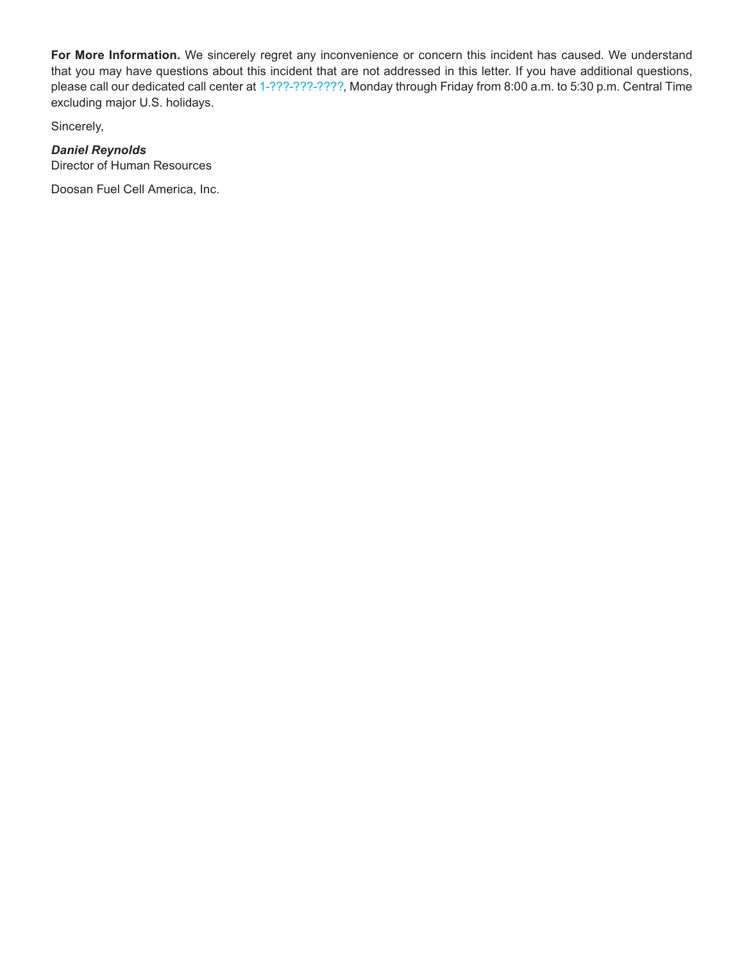**For More Information.** We sincerely regret any inconvenience or concern this incident has caused. We understand that you may have questions about this incident that are not addressed in this letter. If you have additional questions, please call our dedicated call center at 1-???-???-????, Monday through Friday from 8:00 a.m. to 5:30 p.m. Central Time excluding major U.S. holidays.

Sincerely,

# *Daniel Reynolds*

Director of Human Resources

Doosan Fuel Cell America, Inc.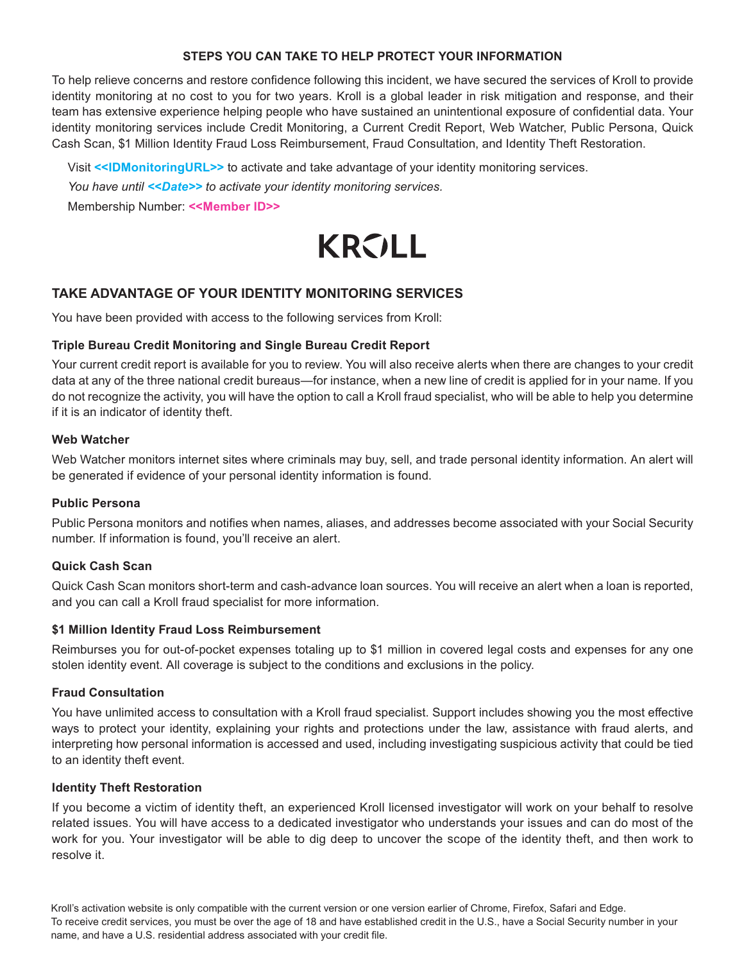# **STEPS YOU CAN TAKE TO HELP PROTECT YOUR INFORMATION**

To help relieve concerns and restore confidence following this incident, we have secured the services of Kroll to provide identity monitoring at no cost to you for two years. Kroll is a global leader in risk mitigation and response, and their team has extensive experience helping people who have sustained an unintentional exposure of confidential data. Your identity monitoring services include Credit Monitoring, a Current Credit Report, Web Watcher, Public Persona, Quick Cash Scan, \$1 Million Identity Fraud Loss Reimbursement, Fraud Consultation, and Identity Theft Restoration.

Visit **<<IDMonitoringURL>>** to activate and take advantage of your identity monitoring services.

*You have until <<Date>> to activate your identity monitoring services.*

Membership Number: **<<Member ID>>**

# **KROLL**

# **TAKE ADVANTAGE OF YOUR IDENTITY MONITORING SERVICES**

You have been provided with access to the following services from Kroll:

# **Triple Bureau Credit Monitoring and Single Bureau Credit Report**

Your current credit report is available for you to review. You will also receive alerts when there are changes to your credit data at any of the three national credit bureaus—for instance, when a new line of credit is applied for in your name. If you do not recognize the activity, you will have the option to call a Kroll fraud specialist, who will be able to help you determine if it is an indicator of identity theft.

#### **Web Watcher**

Web Watcher monitors internet sites where criminals may buy, sell, and trade personal identity information. An alert will be generated if evidence of your personal identity information is found.

#### **Public Persona**

Public Persona monitors and notifies when names, aliases, and addresses become associated with your Social Security number. If information is found, you'll receive an alert.

#### **Quick Cash Scan**

Quick Cash Scan monitors short-term and cash-advance loan sources. You will receive an alert when a loan is reported, and you can call a Kroll fraud specialist for more information.

# **\$1 Million Identity Fraud Loss Reimbursement**

Reimburses you for out-of-pocket expenses totaling up to \$1 million in covered legal costs and expenses for any one stolen identity event. All coverage is subject to the conditions and exclusions in the policy.

# **Fraud Consultation**

You have unlimited access to consultation with a Kroll fraud specialist. Support includes showing you the most effective ways to protect your identity, explaining your rights and protections under the law, assistance with fraud alerts, and interpreting how personal information is accessed and used, including investigating suspicious activity that could be tied to an identity theft event.

#### **Identity Theft Restoration**

If you become a victim of identity theft, an experienced Kroll licensed investigator will work on your behalf to resolve related issues. You will have access to a dedicated investigator who understands your issues and can do most of the work for you. Your investigator will be able to dig deep to uncover the scope of the identity theft, and then work to resolve it.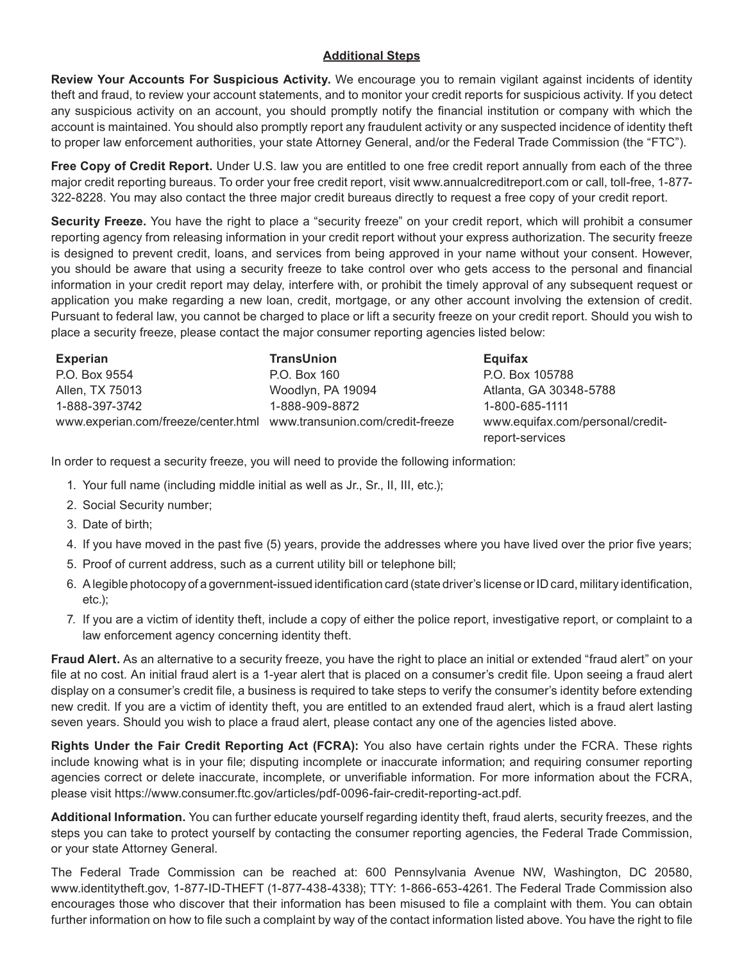# **Additional Steps**

**Review Your Accounts For Suspicious Activity.** We encourage you to remain vigilant against incidents of identity theft and fraud, to review your account statements, and to monitor your credit reports for suspicious activity. If you detect any suspicious activity on an account, you should promptly notify the financial institution or company with which the account is maintained. You should also promptly report any fraudulent activity or any suspected incidence of identity theft to proper law enforcement authorities, your state Attorney General, and/or the Federal Trade Commission (the "FTC").

**Free Copy of Credit Report.** Under U.S. law you are entitled to one free credit report annually from each of the three major credit reporting bureaus. To order your free credit report, visit www.annualcreditreport.com or call, toll-free, 1-877- 322-8228. You may also contact the three major credit bureaus directly to request a free copy of your credit report.

**Security Freeze.** You have the right to place a "security freeze" on your credit report, which will prohibit a consumer reporting agency from releasing information in your credit report without your express authorization. The security freeze is designed to prevent credit, loans, and services from being approved in your name without your consent. However, you should be aware that using a security freeze to take control over who gets access to the personal and financial information in your credit report may delay, interfere with, or prohibit the timely approval of any subsequent request or application you make regarding a new loan, credit, mortgage, or any other account involving the extension of credit. Pursuant to federal law, you cannot be charged to place or lift a security freeze on your credit report. Should you wish to place a security freeze, please contact the major consumer reporting agencies listed below:

| <b>Experian</b>                                                        | <b>TransUnion</b> |   |
|------------------------------------------------------------------------|-------------------|---|
| P.O. Box 9554                                                          | P.O. Box 160      | Р |
| Allen, TX 75013                                                        | Woodlyn, PA 19094 | А |
| 1-888-397-3742                                                         | 1-888-909-8872    | 1 |
| www.experian.com/freeze/center.html   www.transunion.com/credit-freeze |                   | W |

**Equifax** P.O. Box 105788 Atlanta, GA 30348-5788 1-800-685-1111 www.equifax.com/personal/creditreport-services

In order to request a security freeze, you will need to provide the following information:

- 1. Your full name (including middle initial as well as Jr., Sr., II, III, etc.);
- 2. Social Security number;
- 3. Date of birth;
- 4. If you have moved in the past five (5) years, provide the addresses where you have lived over the prior five years;
- 5. Proof of current address, such as a current utility bill or telephone bill;
- 6. A legible photocopy of a government-issued identification card (state driver's license or ID card, military identification, etc.);
- 7. If you are a victim of identity theft, include a copy of either the police report, investigative report, or complaint to a law enforcement agency concerning identity theft.

**Fraud Alert.** As an alternative to a security freeze, you have the right to place an initial or extended "fraud alert" on your file at no cost. An initial fraud alert is a 1-year alert that is placed on a consumer's credit file. Upon seeing a fraud alert display on a consumer's credit file, a business is required to take steps to verify the consumer's identity before extending new credit. If you are a victim of identity theft, you are entitled to an extended fraud alert, which is a fraud alert lasting seven years. Should you wish to place a fraud alert, please contact any one of the agencies listed above.

**Rights Under the Fair Credit Reporting Act (FCRA):** You also have certain rights under the FCRA. These rights include knowing what is in your file; disputing incomplete or inaccurate information; and requiring consumer reporting agencies correct or delete inaccurate, incomplete, or unverifiable information. For more information about the FCRA, please visit https://www.consumer.ftc.gov/articles/pdf-0096-fair-credit-reporting-act.pdf.

**Additional Information.** You can further educate yourself regarding identity theft, fraud alerts, security freezes, and the steps you can take to protect yourself by contacting the consumer reporting agencies, the Federal Trade Commission, or your state Attorney General.

The Federal Trade Commission can be reached at: 600 Pennsylvania Avenue NW, Washington, DC 20580, www.identitytheft.gov, 1-877-ID-THEFT (1-877-438-4338); TTY: 1-866-653-4261. The Federal Trade Commission also encourages those who discover that their information has been misused to file a complaint with them. You can obtain further information on how to file such a complaint by way of the contact information listed above. You have the right to file